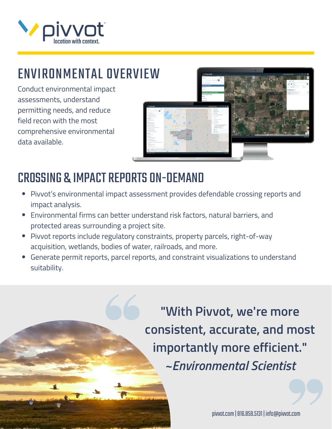

# ENVIRONMENTAL OVERVIEW

Conduct environmental impact assessments, understand permitting needs, and reduce field recon with the most comprehensive environmental data available.



## CROSSING & IMPACT REPORTS ON-DEMAND

- Pivvot's environmental impact assessment provides defendable crossing reports and impact analysis.
- Environmental firms can better understand risk factors, natural barriers, and protected areas surrounding a project site.
- Pivvot reports include regulatory constraints, property parcels, right-of-way acquisition, wetlands, bodies of water, railroads, and more.
- Generate permit reports, parcel reports, and constraint visualizations to understand suitability.

**"With Pivvot, we're more consistent, accurate, and most importantly more efficient."** *~Environmental Scientist*